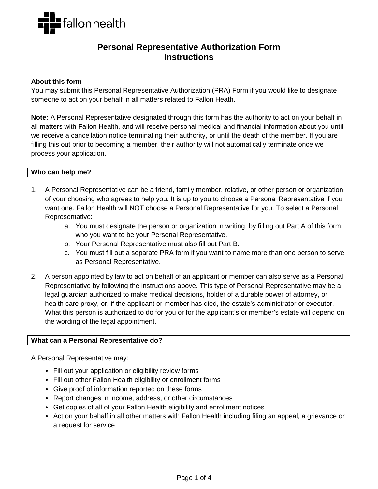

# **Personal Representative Authorization Form Instructions**

#### **About this form**

You may submit this Personal Representative Authorization (PRA) Form if you would like to designate someone to act on your behalf in all matters related to Fallon Heath.

**Note:** A Personal Representative designated through this form has the authority to act on your behalf in all matters with Fallon Health, and will receive personal medical and financial information about you until we receive a cancellation notice terminating their authority, or until the death of the member. If you are filling this out prior to becoming a member, their authority will not automatically terminate once we process your application.

# **Who can help me?**

- 1. A Personal Representative can be a friend, family member, relative, or other person or organization of your choosing who agrees to help you. It is up to you to choose a Personal Representative if you want one. Fallon Health will NOT choose a Personal Representative for you. To select a Personal Representative:
	- a. You must designate the person or organization in writing, by filling out Part A of this form, who you want to be your Personal Representative.
	- b. Your Personal Representative must also fill out Part B.
	- c. You must fill out a separate PRA form if you want to name more than one person to serve as Personal Representative.
- 2. A person appointed by law to act on behalf of an applicant or member can also serve as a Personal Representative by following the instructions above. This type of Personal Representative may be a legal guardian authorized to make medical decisions, holder of a durable power of attorney, or health care proxy, or, if the applicant or member has died, the estate's administrator or executor. What this person is authorized to do for you or for the applicant's or member's estate will depend on the wording of the legal appointment.

#### **What can a Personal Representative do?**

A Personal Representative may:

- Fill out your application or eligibility review forms
- Fill out other Fallon Health eligibility or enrollment forms
- Give proof of information reported on these forms
- Report changes in income, address, or other circumstances
- Get copies of all of your Fallon Health eligibility and enrollment notices
- Act on your behalf in all other matters with Fallon Health including filing an appeal, a grievance or a request for service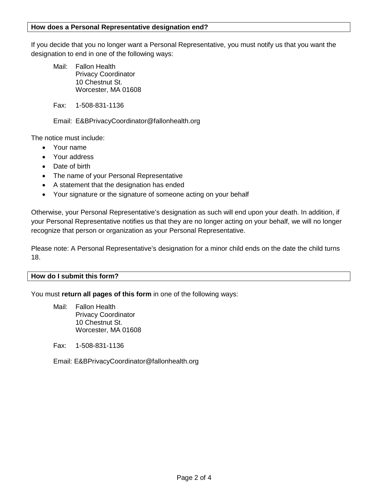## **How does a Personal Representative designation end?**

If you decide that you no longer want a Personal Representative, you must notify us that you want the designation to end in one of the following ways:

Mail: Fallon Health Privacy Coordinator 10 Chestnut St. Worcester, MA 01608

Fax: 1-508-831-1136

Email: E&BPrivacyCoordinator@fallonhealth.org

The notice must include:

- Your name
- Your address
- Date of birth
- The name of your Personal Representative
- A statement that the designation has ended
- Your signature or the signature of someone acting on your behalf

Otherwise, your Personal Representative's designation as such will end upon your death. In addition, if your Personal Representative notifies us that they are no longer acting on your behalf, we will no longer recognize that person or organization as your Personal Representative.

Please note: A Personal Representative's designation for a minor child ends on the date the child turns 18.

# **How do I submit this form?**

You must **return all pages of this form** in one of the following ways:

Mail: Fallon Health Privacy Coordinator 10 Chestnut St. Worcester, MA 01608

Fax: 1-508-831-1136

Email: E&BPrivacyCoordinator@fallonhealth.org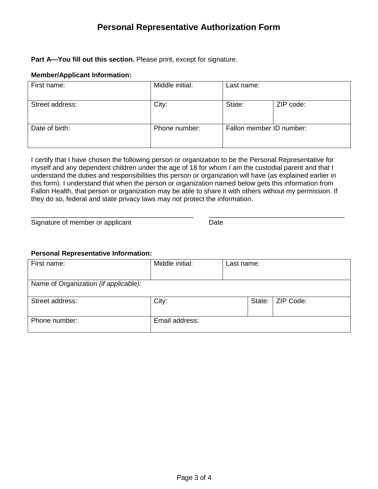# **Personal Representative Authorization Form**

# **Part A—You fill out this section.** Please print, except for signature.

#### **Member/Applicant Information:**

| First name:     | Middle initial: | Last name:               |           |
|-----------------|-----------------|--------------------------|-----------|
| Street address: | City:           | State:                   | ZIP code: |
| Date of birth:  | Phone number:   | Fallon member ID number: |           |

I certify that I have chosen the following person or organization to be the Personal Representative for myself and any dependent children under the age of 18 for whom I am the custodial parent and that I understand the duties and responsibilities this person or organization will have (as explained earlier in this form). I understand that when the person or organization named below gets this information from Fallon Health, that person or organization may be able to share it with others without my permission. If they do so, federal and state privacy laws may not protect the information.

\_\_\_\_\_\_\_\_\_\_\_\_\_\_\_\_\_\_\_\_\_\_\_\_\_\_\_\_\_\_\_\_\_\_\_\_\_\_\_\_\_\_\_ \_\_\_\_\_\_\_\_\_\_\_\_\_\_\_\_\_\_\_\_\_\_\_\_\_\_\_\_\_\_\_\_\_\_\_\_ Signature of member or applicant Date

# **Personal Representative Information:**

| First name:                           | Middle initial: | Last name: |                    |
|---------------------------------------|-----------------|------------|--------------------|
| Name of Organization (if applicable): |                 |            |                    |
| Street address:                       | City:           |            | State:   ZIP Code: |
| Phone number:                         | Email address:  |            |                    |